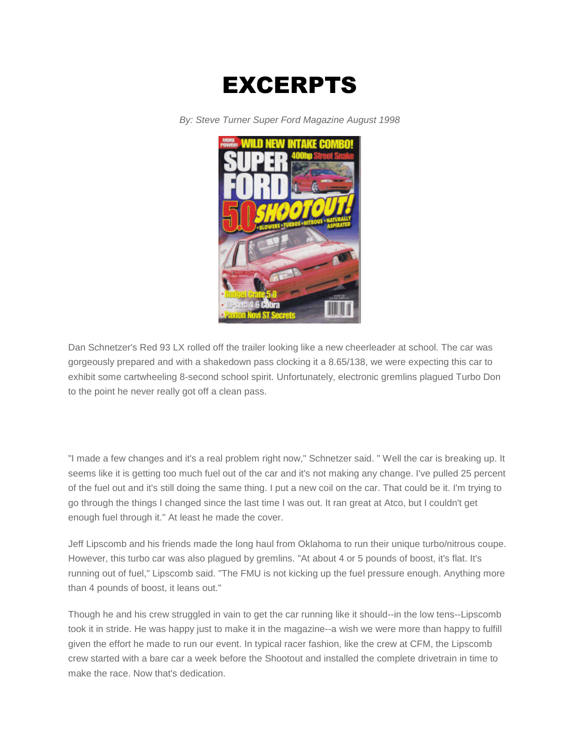

*By: Steve Turner Super Ford Magazine August 1998*



Dan Schnetzer's Red 93 LX rolled off the trailer looking like a new cheerleader at school. The car was gorgeously prepared and with a shakedown pass clocking it a 8.65/138, we were expecting this car to exhibit some cartwheeling 8-second school spirit. Unfortunately, electronic gremlins plagued Turbo Don to the point he never really got off a clean pass.

"I made a few changes and it's a real problem right now," Schnetzer said. " Well the car is breaking up. It seems like it is getting too much fuel out of the car and it's not making any change. I've pulled 25 percent of the fuel out and it's still doing the same thing. I put a new coil on the car. That could be it. I'm trying to go through the things I changed since the last time I was out. It ran great at Atco, but I couldn't get enough fuel through it." At least he made the cover.

Jeff Lipscomb and his friends made the long haul from Oklahoma to run their unique turbo/nitrous coupe. However, this turbo car was also plagued by gremlins. "At about 4 or 5 pounds of boost, it's flat. It's running out of fuel," Lipscomb said. "The FMU is not kicking up the fuel pressure enough. Anything more than 4 pounds of boost, it leans out."

Though he and his crew struggled in vain to get the car running like it should--in the low tens--Lipscomb took it in stride. He was happy just to make it in the magazine--a wish we were more than happy to fulfill given the effort he made to run our event. In typical racer fashion, like the crew at CFM, the Lipscomb crew started with a bare car a week before the Shootout and installed the complete drivetrain in time to make the race. Now that's dedication.